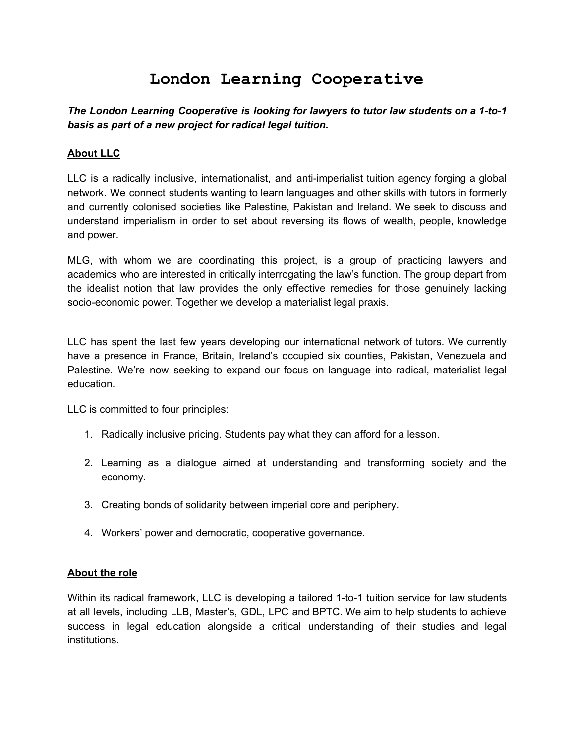# **London Learning Cooperative**

*The London Learning Cooperative is looking for lawyers to tutor law students on a 1-to-1 basis as part of a new project for radical legal tuition.*

# **About LLC**

LLC is a radically inclusive, internationalist, and anti-imperialist tuition agency forging a global network. We connect students wanting to learn languages and other skills with tutors in formerly and currently colonised societies like Palestine, Pakistan and Ireland. We seek to discuss and understand imperialism in order to set about reversing its flows of wealth, people, knowledge and power.

MLG, with whom we are coordinating this project, is a group of practicing lawyers and academics who are interested in critically interrogating the law's function. The group depart from the idealist notion that law provides the only effective remedies for those genuinely lacking socio-economic power. Together we develop a materialist legal praxis.

LLC has spent the last few years developing our international network of tutors. We currently have a presence in France, Britain, Ireland's occupied six counties, Pakistan, Venezuela and Palestine. We're now seeking to expand our focus on language into radical, materialist legal education.

LLC is committed to four principles:

- 1. Radically inclusive pricing. Students pay what they can afford for a lesson.
- 2. Learning as a dialogue aimed at understanding and transforming society and the economy.
- 3. Creating bonds of solidarity between imperial core and periphery.
- 4. Workers' power and democratic, cooperative governance.

#### **About the role**

Within its radical framework, LLC is developing a tailored 1-to-1 tuition service for law students at all levels, including LLB, Master's, GDL, LPC and BPTC. We aim to help students to achieve success in legal education alongside a critical understanding of their studies and legal institutions.